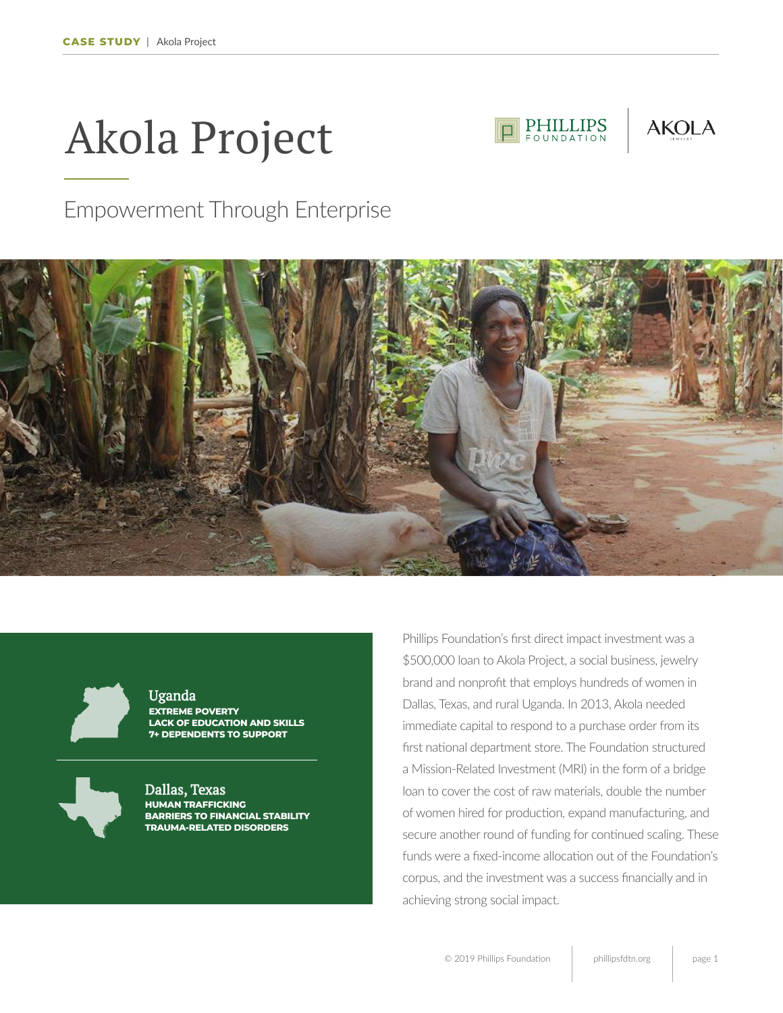# Akola Project



## Empowerment Through Enterprise





**EXTREME POVERTY LACK OF EDUCATION AND SKILLS 7+ DEPENDENTS TO SUPPORT** Uganda



**HUMAN TRAFFICKING BARRIERS TO FINANCIAL STABILITY TRAUMA-RELATED DISORDERS** Dallas, Texas

Phillips Foundation's first direct impact investment was a \$500,000 loan to Akola Project, a social business, jewelry brand and nonprofit that employs hundreds of women in Dallas, Texas, and rural Uganda. In 2013, Akola needed immediate capital to respond to a purchase order from its first national department store. The Foundation structured a Mission-Related Investment (MRI) in the form of a bridge loan to cover the cost of raw materials, double the number of women hired for production, expand manufacturing, and secure another round of funding for continued scaling. These funds were a fixed-income allocation out of the Foundation's corpus, and the investment was a success financially and in achieving strong social impact.